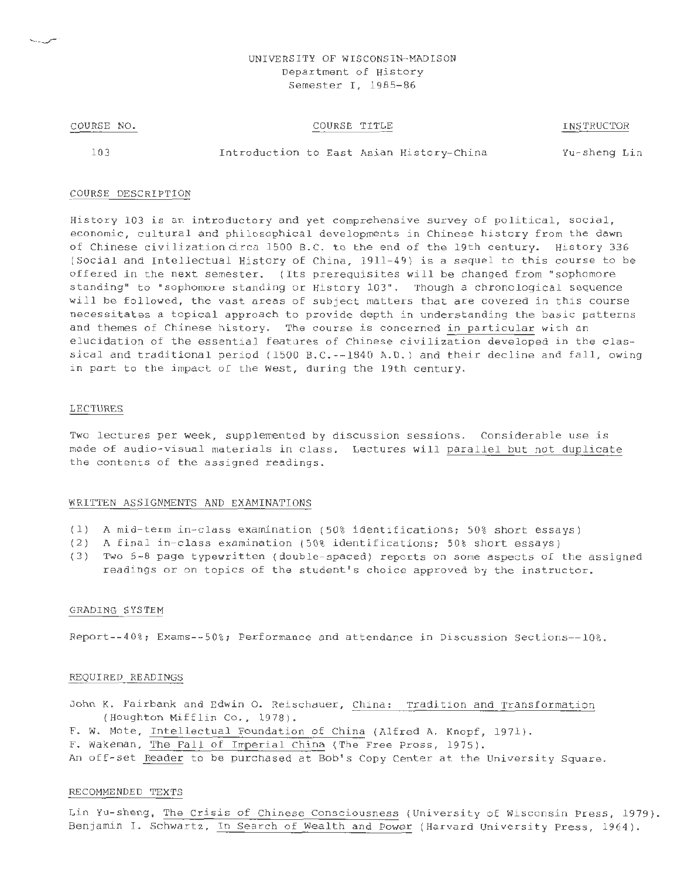## UNIVERSITY OF WISCONSIN-MADISON Department of History Semester I, 1985-86

#### COURSE NO.

## COURSE TITLE

INSTRUCTOR

103

Introduction to East Asian History-China Yu-sheng Lin

#### COURSE DESCRIPTION

History 103 is an introductory and yet comprehensive survey of political, social, economic, cultural and philosophical developments in Chinese history from the dawn of Chinese civilization circa 1500 B.C. to the end of the 19th century. History 336 (Social and Intellectual History of China, 1911-49) is a sequel to this course to be offered in the next semester. (Its prerequisites will be changed from "sophomore standing" to "sophomore standing or History 103". Though a chronological sequence will be followed, the vast areas of subject matters that are covered in this course necessitates a topical approach to provide depth in understanding the basic patterns and themes of Chinese history. The course is concerned in particular with an elucidation of the essential features of Chinese civilization developed in the classical and traditional period (1500 B.C.--1840 A.D.) and their decline and fall, owing in part to the impact of the West, during the 19th century.

### LECTURES

Two lectures per week, supplemented by discussion sessions. Considerable use is made of audio-visual materials in class. Lectures will parallel but not duplicate the contents of the assigned readings.

#### WRITTEN ASSIGNMENTS AND EXAMINATIONS

- (1) A mid-term in-class examination (50% identifications; 50% short essays)
- (2) A final in-class examination (50% identifications; 50% short essays)
- (3) Two 5-8 page typewritten (double-spaced) reports on some aspects of the assigned readings or on topics of the student's choice approved by the instructor.

### GRADING SYSTEM

Report--40%; Exams--50%; Performance and attendance in Discussion Sections--10%.

#### REQUIRED READINGS

John K. Fairbank and Edwin 0. Reischauer, China: Tradition and Transformation (Houghton Mifflin Co., 1978).

F. w. Mote, Intellectual Foundation of China (Alfred A. Knopf, 1971) .

F. wakeman, The Fall of Imperial China (The Free Press, 1975).

An off-set Reader to be purchased at Bob's Copy Center at the University Square.

#### RECOMMENDED TEXTS

Lin Yu-sheng, The Crisis of Chinese Consciousness (University of Wisconsin Press, 1979) . Benjamin I. Schwartz, In Search of Wealth and Power (Harvard University Press, 1964).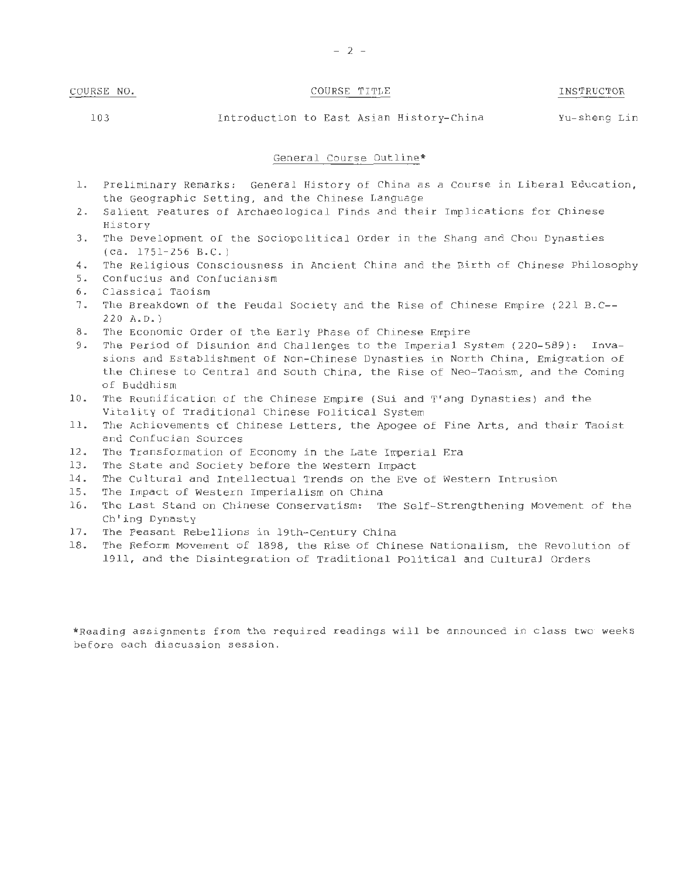# COURSE NO. COURSE TITLE TITLE INSTRUCTOR

103 Introduction to East Asian History-China Yu-sheng Lin

### General Course Outline\*

- 1. Preliminary Remarks: General History of China as a Course in Liberal Education, the Geographic Setting, and the Chinese Language
- 2. Salient Features of Archaeological Finds and their Implications for Chinese History
- 3. The Development of the Sociopolitical Order in the Shang and Chou Dynasties (ca. 1751-256 B. C. )
- 4. The Religious Consciousness in Ancient China and the Birth of Chinese Philosophy
- 5. Confucius and Confucianism
- 6. Classical Taoism
- 7. The Breakdown of the Feudal Society and the Rise of Chinese Empire (221 B.C-- 220 A.D.)
- 8. The Economic Order of the Early Phase of Chinese Empire
- 9. The Period of Disunion and Challenges to the Imperial System (220-589): Invasions and Establishment of Non-Chinese Dynasties in North China, Emigration of the Chinese to Central and South China, the Rise of Neo-Taoism, and the Coming of Buddhism
- 10. The Reunification of the Chinese Empire (Sui and T' ang Dynasties) and the Vitality of Traditional Chinese Political System
- 11. The Achievements of Chinese Letters, the Apogee of Fine Arts, and their Taoist and Confucian Sources
- 12. The Transformation of Economy in the Late Imperial Era
- 13. The State and Society before the Western Impact
- 14. The Cultural and Intellectual Trends on the Eve of Western Intrusion
- 15. The Impact of Western Imperialism on China
- 16. The Last Stand on Chinese Conservatism: The Self-Strengthening Movement of the Ch'ing Dynasty
- 17. The Peasant Rebellions in 19th-Century China
- 18. The Reform Movement of 1898, the Rise of Chinese Nationalism, the Revolution of 1911, and the Disintegration of Traditional Political and Cultural Orders

\*Reading assignments from the required readings will be announced in class two weeks before each discussion session.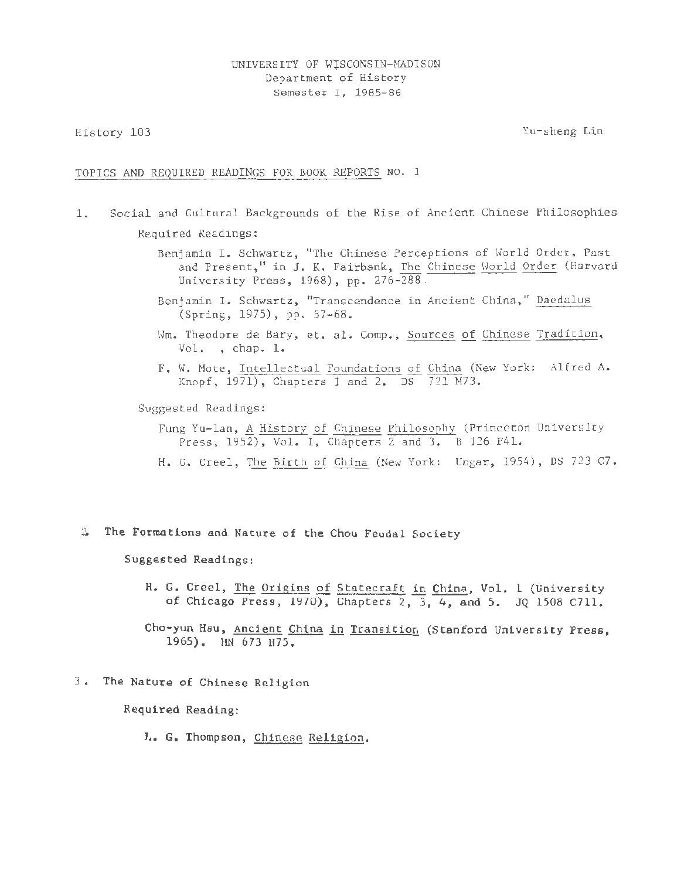History 103

Yu- sheng Lin

## TOPICS AND REQUIRED READINGS FOR BOOK REPORTS NO. 1

- 1. Social and Cultural Backgrounds of the Rise of Ancient Chinese Philosophies Required Readings :
	- Benjamin I. Schwartz, "The Chinese Perceptions of World Order, Past and Present," in J. K. Fairbank, The Chinese World Order (Harvard University Press, 1968), pp. 276-288.
	- Benjamin I. Schwartz, "Transcendence in Ancient China, " Daedalus (Spring, 1975), pp. 57-68.
	- Wm. Theodore de Bary, et. al. Comp., Sources of Chinese Tradition,  $Vol.$ , chap.  $l.$
	- F. W. Mote, Intellectual Foundations of China (New York: Alfred A. Knopf, 1971), Chapters 1 and 2. DS 721 M73.

Suggested Readings :

- Fung Yu-lan, A History of Chinese Philosophy (Princeton University Press, 1952), Vol. I, Chapters 2 and 3. B 126 F41.
- H. G. Creel, The Birth of China (New York: Ungar, 1954), DS 723 C7.
- <sup>~</sup>The Formations and Nature of the Chou Feudal Society

Suggested Readings:

- H. G. Creel, The Origins of Statecraft in China, Vol. l (University of Chicago Press, 1970), Chapters 2, 3, 4, and 5. JQ 1508 C7ll.
- Cho-yun Hsu, Ancient China in Transition (Stanford University Press, 1965). HN 673 H75.
- 3 . The Nature of Chinese Religion

Required Reading:

L. G. Thompson, Chinese Religion.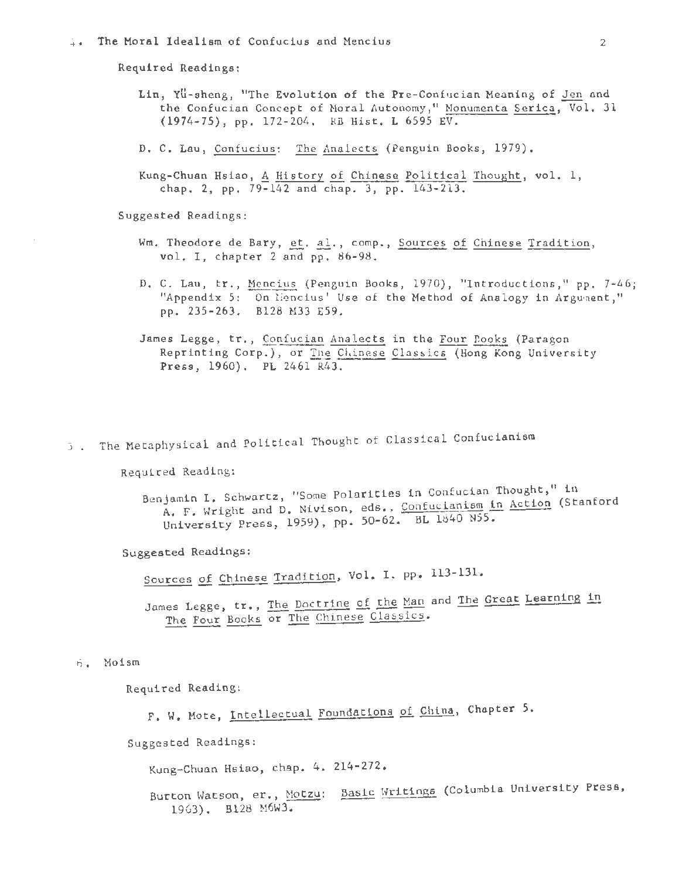Required Readings:

- Lin, Yu-sheng, "The Evolution of the Pre-Confucian Meaning of Jen and the Confucian Concept of Moral Autonomy," Monumenta Serica, Vol. 31 (1974-75), pp. 172-204. RB Hist, L 6595 EV.
- D. C. Lau, Confucius: The Analects (Penguin Books, 1979).
- Kung-Chuan Hsiao, A History of Chinese Political Thought, vol. 1, chap. 2, pp. 79-142 and chap. 3, pp. 143-213.

Suggested Readings:

- Wm. Theodore de Bary, et. al., comp., Sources of Chinese Tradition, vol. I. chapter 2 and pp. 86-98.
- D. C. Lau, Er., Mencius (Penguin Books, 1970), "Introductions," pp. 7-46; "Appendix 5: On liencius' Use of the Method of Analogy in Argument," pp. 235-263. B128 M33 E59.
- James Legge, tr., Confucian Analects in the Four Dooks (Paragon Reprinting Corp.), or The Chinese Classics (Hong Kong University Press, 1960). PL 2461 R43.
- 5. The Metaphysical and Political Thought of Classical Confucianism

Required Reading:

Benjamin I. Schwartz, "Some Polarities in Confucian Thought," in A. F. Wright and D. Nivison, eds., Confucianism in Action (Stanford University Press, 1959), pp. 50-62. BL 1840 N55.

Suggested Readings:

Sources of Chinese Tradition, Vol. I. pp. 113-131.

James Legge, tr., The Doctrine of the Man and The Great Learning in The Four Books or The Chinese Classics.

6. Moism

Required Reading:

F. W. Mote, Intellectual Foundations of China, Chapter 5.

Suggested Readings:

Kung-Chuan Hsiao, chap. 4. 214-272.

Burton Watson, er., Motzu: Basic Writings (Columbia University Press, 1963). B128 M6W3.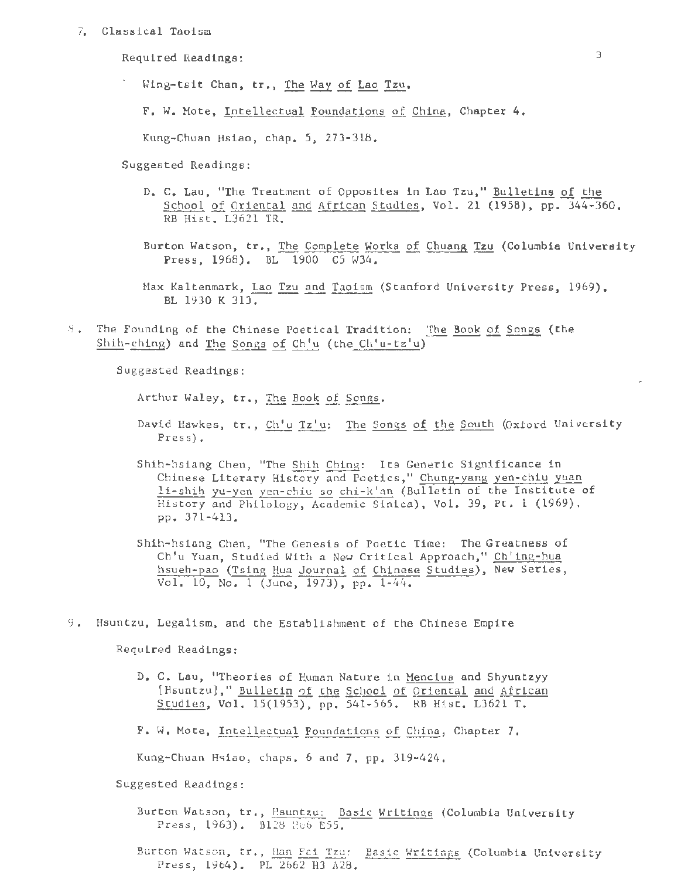7. Classical Taoism

Required Readings: 3

Wing-tsit Chan, tr., The Way of Lao Tzu.

F. W. Mote, Intellectual Foundations of China, Chapter 4.

Kung-Chuan Hsiao, chap. 5, 273-318.

Suggested Readings:

- D. c. Lau, "The Treatment of Opposites in Lao Tzu," Bulletins of the School of Oriental and African Studies, Vol. 21 (1958), pp. 344-360. RB Hist. L3621 TR.
- Burton Watson, tr., The Complete Works of Chuang Tzu (Columbia University Press, 1968). BL 1900 C5 W34.
- Max Kaltenmark, Lao Tzu and Taoism (Stanford University Press, 1969). BL 1930 K 313.
- 8 . The Founding of the Chinese Poetical Tradition: The Book of Songs (the Shih-ching) and The Songs of Ch'u (the Ch'u-tz'u)

Suggested Readings:

Arthur Waley, tr., The Book of Songs.

- David Hawkes, tr., Ch'u Tz'u: The Songs of the South (Oxford University Press).
- Shih-hsiang Chen, "The Shih Ching: Its Generic Significance in Chinese Literary History and Poetics," Chung-yang yen- chiu yuan li-shih yu-yen yen-chiu so chi-k'an (Bulletin of the Institute of History and Philology, Academic Sinica), Vol. 39, Pt. 1 (1969), pp. 371-413.
- Shih-hsiang Chen, "The Genesis of Poetic Time: The Greatness of Ch'u Yuan, Studied With a New Critical Approach," Ch'ing-hua hsueh-pao (Tsing Hua Journal of Chinese Studies), New Series, Vol. 10, No. 1 (June, 1973), pp. 1-44.
- 9. Hsuntzu, Legalism, and the Establishment of the Chinese Empire

Required Readings:

- D. C. Lau, "Theories of Human Nature in Mencius and Shyuntzyy [Hsuntzu]," Bulletin of the School of Oriental and African Studies, Vol. 15(1953), pp. 541-565. RB Hist. L3621 T.
- F. w. Mote, Intellectual Foundations of China, Chapter 7.

Kung-Chuan Hsiao, chaps. 6 and 7, pp. 319-424.

Suggested Readings :

- Burton Watson, tr., Hsuntzu: Basic Writings (Columbia University Press, 1963). B128 H66 E55.
- Burton Watson, tr., Han Fei Tzu: Basic Writings (Columbia University Press, 1964). PL 2662 H3 A28.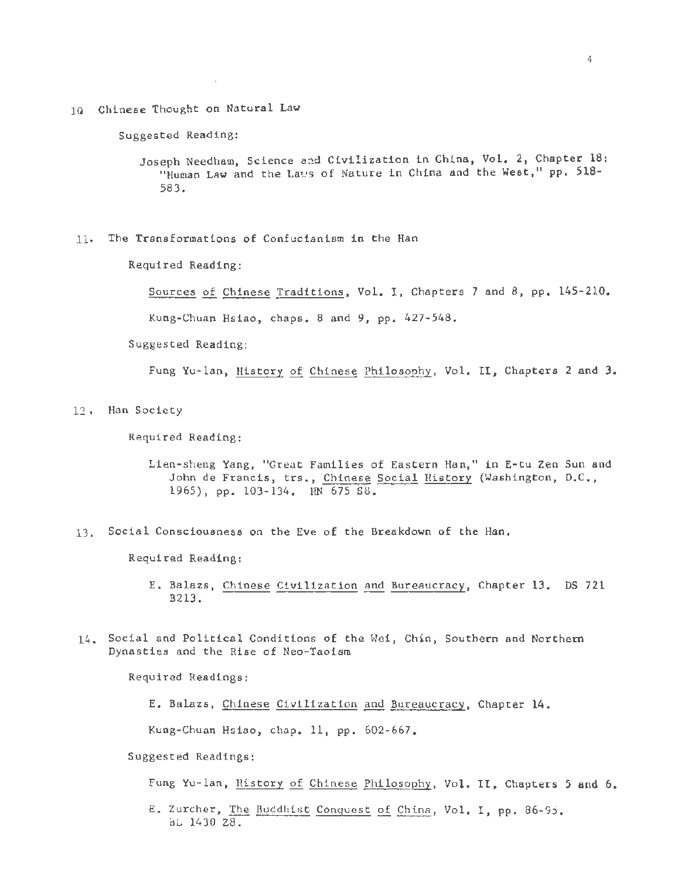10 Chinese Thought on Natural Law

 $\mathcal{L}$ 

Suggested Reading:

Joseph Needham, Science and Civilization in China, Vol. 2, Chapter 18: "Human Law and the Laws of Nature in China and the West," pp. 518-583.

11· The Transformations of Confucianism in the Han

Required Reading:

Sources of Chinese Traditions, Vol. I, Chapters 7 and 8, pp. 145-210.

Kung-Chuan Hsiao, chaps. 8 and 9, pp. 427-548.

Suggested Reading:

Fung Yu-lan, History of Chinese Philosophy, Vol. II, Chapters 2 and 3.

12 . Han Society

Required Reading:

- Lien-sheng Yang, "Great Families of Eastern Han," in E-tu Zen Sun and John de Francis, trs., Chinese Social History (Washington, D.C., 1965), pp. 103-134. HN 675 S8.
- 13. Social Consciousness on the Eve of the Breakdown of the Han.

Required Reading:

- E. Balazs, Chinese Civilization and Bureaucracy, Chapter 13. DS 721 B213.
- 14. Social and Political Conditions of the Wei, Chin, Southern and Northern Dynasties and the Rise of Neo-Taoism

Required Readings:

```
E. Balazs, Chinese Civilization and Bureaucracy, Chapter 14.
```
Kung-Chuan Hsiao, chap. 11, pp. 602-667.

Suggested Readings:

Fung Yu-lan, History of Chinese Philosophy, Vol. II, Chapters 5 and 6.

E. Zurcher, The Buddhist Conquest of China, Vol. I, pp. 86-95. BL 1430 Z8 .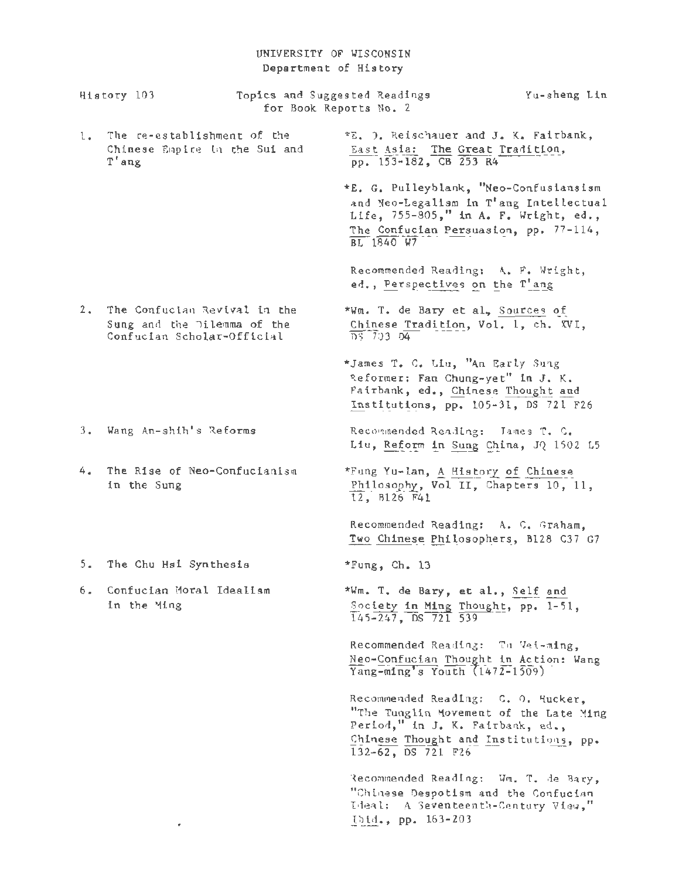# UNIVERSITY OF WISCONSIN Department of History

|       | History 103                                                                               | for Book Reports No. 2 | Topics and Suggested Readings                                                                                                                                                       | Yu-sheng Lin |
|-------|-------------------------------------------------------------------------------------------|------------------------|-------------------------------------------------------------------------------------------------------------------------------------------------------------------------------------|--------------|
| 1.    | The re-establishment of the<br>Chinese Empire in the Sui and<br>T'ang                     |                        | *E. O. Reischauer and J. K. Fairbank,<br>East Asia: The Great Tradition,<br>pp. 153-182, CB 253 R4                                                                                  |              |
|       |                                                                                           |                        | *E. G. Pulleyblank, "Neo-Confusiansism<br>and Neo-Legalism in T'ang Intellectual<br>Life, 755-805," in A. F. Wright, ed.,<br>The Confucian Persuasion, pp. 77-114,<br>$BL$ 1840 $W$ |              |
|       |                                                                                           |                        | Recommended Reading: A. F. Wright,<br>ed., Perspectives on the T'ang                                                                                                                |              |
| $2 -$ | The Confucian Revival in the<br>Sung and the Dilemma of the<br>Confucian Scholar-Official |                        | *Wm. T. de Bary et al, Sources of<br>Chinese Tradition, Vol. 1, ch. XVI,<br>DS 703 D4                                                                                               |              |
|       |                                                                                           |                        | *James T. C. Liu, "An Early Sung<br>Reformer: Fan Chung-yet" in J. K.<br>Fairbank, ed., Chinese Thought and<br>Institutions, pp. 105-31, DS 721 F26                                 |              |
|       | 3. Wang An-shih's Reforms                                                                 |                        | Recommended Reading: James T. C.<br>Liu, Reform in Sung China, JQ 1502 L5                                                                                                           |              |
| 4.    | The Rise of Neo-Confucianism<br>in the Sung                                               |                        | *Fung Yu-lan, A History of Chinese<br>Philosophy, Vol II, Chapters 10, 11,<br>12, B126 F41                                                                                          |              |
|       |                                                                                           |                        | Recommended Reading: A. C. Graham,<br>Two Chinese Philosophers, B128 C37 G7                                                                                                         |              |
|       | 5. The Chu Hsi Synthesis                                                                  |                        | *Fung, Ch. 13                                                                                                                                                                       |              |
|       | 6. Confucian Moral Idealism<br>in the Ming                                                |                        | *Wm. T. de Bary, et al., Self and<br>Society in Ming Thought, pp. 1-51,<br>$145 - 247$ , DS 721 539                                                                                 |              |
|       |                                                                                           |                        | Recommended Reading: Tu Vei-ming,<br>Neo-Confucian Thought in Action: Wang<br>$\overline{Yang-ming's Youth}$ (1472-1509)                                                            |              |
|       |                                                                                           |                        | Recommended Reading: C. O. Hucker,<br>"The Tunglin Movement of the Late Ming<br>Period," in J. K. Fairbank, ed.,<br>Chinese Thought and Institutions, pp.<br>132-62, DS 721 F26     |              |
|       |                                                                                           |                        | Recommended Reading: Wm. T. de Bary,<br>"Chinese Despotism and the Confucian<br>Ideal: A Seventeenth-Century View,"<br>thid., pp. 163-203                                           |              |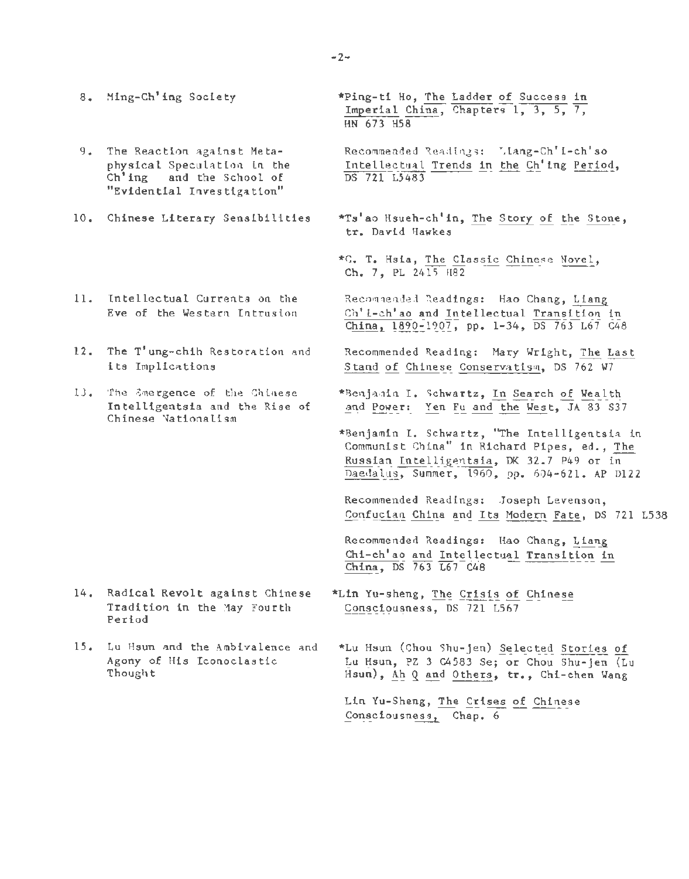- 8. Ming-Ch'ing Society
- 9. The Reaction against Metaphysical Speculation ln the Ch'ing and the School of "Evidential Investigation"
- 10. Chinese Literary Sensibilities
- 11. Intellectual Currents on the Eve of the Western Intrusion
- 12. The T'ung-chih Restoration and its Implications
- 13. The Emergence of the Chinese Intelligentsia and the Rise of Chinese Nationalism

- 14. Radical Revolt against Chinese Tradition in the May Fourth Period
- 15. Lu Hsun and the Ambivalence and Agony of His Iconoclastic Thought

\*Ping-ti Ho, The Ladder of Success in Imperial China, Chapters 1, 3, 5, 7, HN 673 H58

Recommended Readings: Liang-Ch'i-ch'so Intellectual Trends in the Ch'ing Period, DS 721 L5483

- \*Ts'ao Hsueh-ch'in, The Story of the Stone, tr. David Hawkes
- \*C. T. Hsia, The Classic Chinese Novel, Ch. 7, PL 2415 H82

Recommended Readings: Hao Chang, Liang Ch' 1- ch'ao and Intellectual Transition in  $China, 1890-1907, pp. 1-34, DS 763 L67 C48$ 

- Recommended Reading: Mary Wright, The Last Stand of Chinese Conservatism, DS 762 W7
- \*Benjamin I. Schwartz, In Search of Wealth and Power: Yen Fu and the West, JA 83 S37
- \*Benjamin I. Schwartz, "The Intelligentsia in Communist China" in Richard Pipes, ed., The Russian Intelligentsia, DK 32.7 P49 or in Daedalus, Summer, 1960, pp. 604-621. AP Dl22

Recommended Readings: Joseph Levenson, Confucian China and Its Modern Fate, DS 721 L538

Recommended Readings: Hao Chang, Liang Chi-ch'ao and Intellectual Transition in China, DS  $763 \overline{L}67$  C48

- \*Lin Yu-sheng, The Crisis of Chinese Consciousness, DS 721 L567
- \*Lu Hsun (Chou Shu-jen) Selected Stories of Lu Hsun, PZ 3 C4583 Se; or Chou Shu-jen  $(L<sub>U</sub>)$ Hsun), Ah *Q* and Others, tr., Chi-chen Wang

Lin Yu-Sheng, The Crises of Chinese Consciousness, Chap. 6